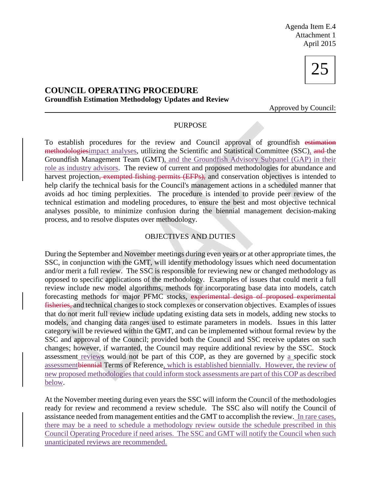Agenda Item E.4 Attachment 1 April 2015



## **COUNCIL OPERATING PROCEDURE Groundfish Estimation Methodology Updates and Review**

Approved by Council:

## PURPOSE

To establish procedures for the review and Council approval of groundfish estimation methodologiesimpact analyses, utilizing the Scientific and Statistical Committee (SSC), and the Groundfish Management Team (GMT), and the Groundfish Advisory Subpanel (GAP) in their role as industry advisors. The review of current and proposed methodologies for abundance and harvest projection, exempted fishing permits (EFPs), and conservation objectives is intended to help clarify the technical basis for the Council's management actions in a scheduled manner that avoids ad hoc timing perplexities. The procedure is intended to provide peer review of the technical estimation and modeling procedures, to ensure the best and most objective technical analyses possible, to minimize confusion during the biennial management decision-making process, and to resolve disputes over methodology.

## OBJECTIVES AND DUTIES

During the September and November meetings during even years or at other appropriate times, the SSC, in conjunction with the GMT, will identify methodology issues which need documentation and/or merit a full review. The SSC is responsible for reviewing new or changed methodology as opposed to specific applications of the methodology. Examples of issues that could merit a full review include new model algorithms, methods for incorporating base data into models, catch forecasting methods for major PFMC stocks, experimental design of proposed experimental fisheries, and technical changes to stock complexes or conservation objectives. Examples of issues that do not merit full review include updating existing data sets in models, adding new stocks to models, and changing data ranges used to estimate parameters in models. Issues in this latter category will be reviewed within the GMT, and can be implemented without formal review by the SSC and approval of the Council; provided both the Council and SSC receive updates on such changes; however, if warranted, the Council may require additional review by the SSC. Stock assessment reviews would not be part of this COP, as they are governed by a specific stock assessmentbiennial Terms of Reference, which is established biennially. However, the review of new proposed methodologies that could inform stock assessments are part of this COP as described below.

At the November meeting during even years the SSC will inform the Council of the methodologies ready for review and recommend a review schedule. The SSC also will notify the Council of assistance needed from management entities and the GMT to accomplish the review. In rare cases, there may be a need to schedule a methodology review outside the schedule prescribed in this Council Operating Procedure if need arises. The SSC and GMT will notify the Council when such unanticipated reviews are recommended.